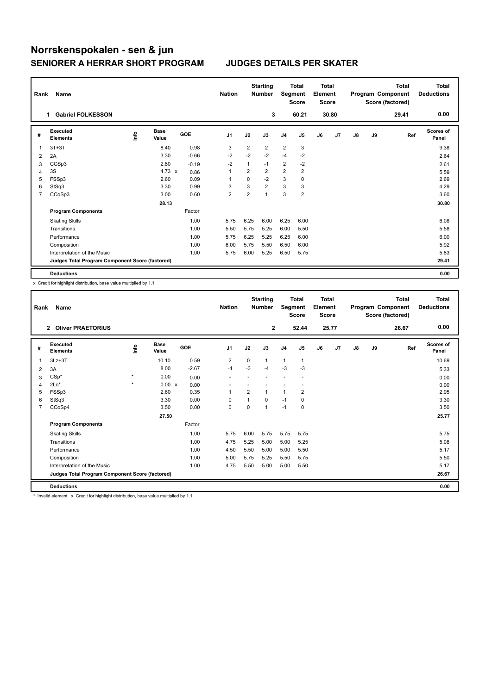## **Norrskenspokalen - sen & jun SENIORER A HERRAR SHORT PROGRAM JUDGES DETAILS PER SKATER**

| Rank | Name                                            |      |                      |            | <b>Nation</b>           |                | <b>Starting</b><br><b>Number</b> | Segment        | Total<br><b>Score</b>   | <b>Total</b><br>Element<br><b>Score</b> |       |               |    | <b>Total</b><br>Program Component<br>Score (factored) | <b>Total</b><br><b>Deductions</b> |
|------|-------------------------------------------------|------|----------------------|------------|-------------------------|----------------|----------------------------------|----------------|-------------------------|-----------------------------------------|-------|---------------|----|-------------------------------------------------------|-----------------------------------|
|      | <b>Gabriel FOLKESSON</b><br>1.                  |      |                      |            |                         |                | 3                                |                | 60.21                   |                                         | 30.80 |               |    | 29.41                                                 | 0.00                              |
| #    | Executed<br><b>Elements</b>                     | lnfo | <b>Base</b><br>Value | <b>GOE</b> | J <sub>1</sub>          | J2             | J3                               | J <sub>4</sub> | J <sub>5</sub>          | J6                                      | J7    | $\mathsf{J}8$ | J9 | Ref                                                   | Scores of<br>Panel                |
| 1    | $3T+3T$                                         |      | 8.40                 | 0.98       | 3                       | 2              | $\overline{2}$                   | $\overline{2}$ | 3                       |                                         |       |               |    |                                                       | 9.38                              |
| 2    | 2A                                              |      | 3.30                 | $-0.66$    | $-2$                    | $-2$           | $-2$                             | $-4$           | $-2$                    |                                         |       |               |    |                                                       | 2.64                              |
| 3    | CCSp3                                           |      | 2.80                 | $-0.19$    | $-2$                    | 1              | $-1$                             | 2              | $-2$                    |                                         |       |               |    |                                                       | 2.61                              |
| 4    | 3S                                              |      | 4.73 $\times$        | 0.86       | 1                       | $\overline{2}$ | $\overline{2}$                   | $\overline{2}$ | $\overline{2}$          |                                         |       |               |    |                                                       | 5.59                              |
| 5    | FSSp3                                           |      | 2.60                 | 0.09       | 1                       | $\Omega$       | $-2$                             | 3              | 0                       |                                         |       |               |    |                                                       | 2.69                              |
| 6    | StSq3                                           |      | 3.30                 | 0.99       | 3                       | 3              | $\overline{2}$                   | 3              | 3                       |                                         |       |               |    |                                                       | 4.29                              |
| 7    | CCoSp3                                          |      | 3.00                 | 0.60       | $\overline{\mathbf{c}}$ | $\overline{2}$ | $\overline{ }$                   | 3              | $\overline{\mathbf{c}}$ |                                         |       |               |    |                                                       | 3.60                              |
|      |                                                 |      | 28.13                |            |                         |                |                                  |                |                         |                                         |       |               |    |                                                       | 30.80                             |
|      | <b>Program Components</b>                       |      |                      | Factor     |                         |                |                                  |                |                         |                                         |       |               |    |                                                       |                                   |
|      | <b>Skating Skills</b>                           |      |                      | 1.00       | 5.75                    | 6.25           | 6.00                             | 6.25           | 6.00                    |                                         |       |               |    |                                                       | 6.08                              |
|      | Transitions                                     |      |                      | 1.00       | 5.50                    | 5.75           | 5.25                             | 6.00           | 5.50                    |                                         |       |               |    |                                                       | 5.58                              |
|      | Performance                                     |      |                      | 1.00       | 5.75                    | 6.25           | 5.25                             | 6.25           | 6.00                    |                                         |       |               |    |                                                       | 6.00                              |
|      | Composition                                     |      |                      | 1.00       | 6.00                    | 5.75           | 5.50                             | 6.50           | 6.00                    |                                         |       |               |    |                                                       | 5.92                              |
|      | Interpretation of the Music                     |      |                      | 1.00       | 5.75                    | 6.00           | 5.25                             | 6.50           | 5.75                    |                                         |       |               |    |                                                       | 5.83                              |
|      | Judges Total Program Component Score (factored) |      |                      |            |                         |                |                                  |                |                         |                                         |       |               |    |                                                       | 29.41                             |
|      | <b>Deductions</b>                               |      |                      |            |                         |                |                                  |                |                         |                                         |       |               |    |                                                       | 0.00                              |

x Credit for highlight distribution, base value multiplied by 1.1

| Rank | Name                                            |         |               |         | <b>Nation</b>  |                | <b>Starting</b><br><b>Number</b> | Segment        | <b>Total</b><br><b>Score</b> | <b>Total</b><br>Element<br><b>Score</b> |       |               |    | <b>Total</b><br>Program Component<br>Score (factored) | <b>Total</b><br><b>Deductions</b> |
|------|-------------------------------------------------|---------|---------------|---------|----------------|----------------|----------------------------------|----------------|------------------------------|-----------------------------------------|-------|---------------|----|-------------------------------------------------------|-----------------------------------|
|      | <b>Oliver PRAETORIUS</b><br>$\overline{2}$      |         |               |         |                |                | $\mathbf{2}$                     |                | 52.44                        |                                         | 25.77 |               |    | 26.67                                                 | 0.00                              |
| #    | Executed<br><b>Elements</b>                     | ١nf٥    | Base<br>Value | GOE     | J <sub>1</sub> | J2             | J3                               | J <sub>4</sub> | J5                           | J6                                      | J7    | $\mathsf{J}8$ | J9 | Ref                                                   | Scores of<br>Panel                |
| 1    | $3Lz + 3T$                                      |         | 10.10         | 0.59    | $\overline{2}$ | $\Omega$       | $\mathbf{1}$                     | $\mathbf{1}$   | $\mathbf{1}$                 |                                         |       |               |    |                                                       | 10.69                             |
| 2    | 3A                                              |         | 8.00          | $-2.67$ | $-4$           | $-3$           | $-4$                             | $-3$           | $-3$                         |                                         |       |               |    |                                                       | 5.33                              |
| 3    | $CSp*$                                          | $\star$ | 0.00          | 0.00    |                |                |                                  |                |                              |                                         |       |               |    |                                                       | 0.00                              |
| 4    | $2Lo*$                                          | $\star$ | 0.00 x        | 0.00    |                |                |                                  |                |                              |                                         |       |               |    |                                                       | 0.00                              |
| 5    | FSSp3                                           |         | 2.60          | 0.35    | $\overline{1}$ | $\overline{2}$ | 1                                | $\overline{1}$ | 2                            |                                         |       |               |    |                                                       | 2.95                              |
| 6    | StSq3                                           |         | 3.30          | 0.00    | $\Omega$       | 1              | $\Omega$                         | $-1$           | 0                            |                                         |       |               |    |                                                       | 3.30                              |
| 7    | CCoSp4                                          |         | 3.50          | 0.00    | $\mathbf 0$    | 0              | 1                                | $-1$           | 0                            |                                         |       |               |    |                                                       | 3.50                              |
|      |                                                 |         | 27.50         |         |                |                |                                  |                |                              |                                         |       |               |    |                                                       | 25.77                             |
|      | <b>Program Components</b>                       |         |               | Factor  |                |                |                                  |                |                              |                                         |       |               |    |                                                       |                                   |
|      | <b>Skating Skills</b>                           |         |               | 1.00    | 5.75           | 6.00           | 5.75                             | 5.75           | 5.75                         |                                         |       |               |    |                                                       | 5.75                              |
|      | Transitions                                     |         |               | 1.00    | 4.75           | 5.25           | 5.00                             | 5.00           | 5.25                         |                                         |       |               |    |                                                       | 5.08                              |
|      | Performance                                     |         |               | 1.00    | 4.50           | 5.50           | 5.00                             | 5.00           | 5.50                         |                                         |       |               |    |                                                       | 5.17                              |
|      | Composition                                     |         |               | 1.00    | 5.00           | 5.75           | 5.25                             | 5.50           | 5.75                         |                                         |       |               |    |                                                       | 5.50                              |
|      | Interpretation of the Music                     |         |               | 1.00    | 4.75           | 5.50           | 5.00                             | 5.00           | 5.50                         |                                         |       |               |    |                                                       | 5.17                              |
|      | Judges Total Program Component Score (factored) |         |               |         |                |                |                                  |                |                              |                                         |       |               |    |                                                       | 26.67                             |
|      | <b>Deductions</b>                               |         |               |         |                |                |                                  |                |                              |                                         |       |               |    |                                                       | 0.00                              |

\* Invalid element x Credit for highlight distribution, base value multiplied by 1.1